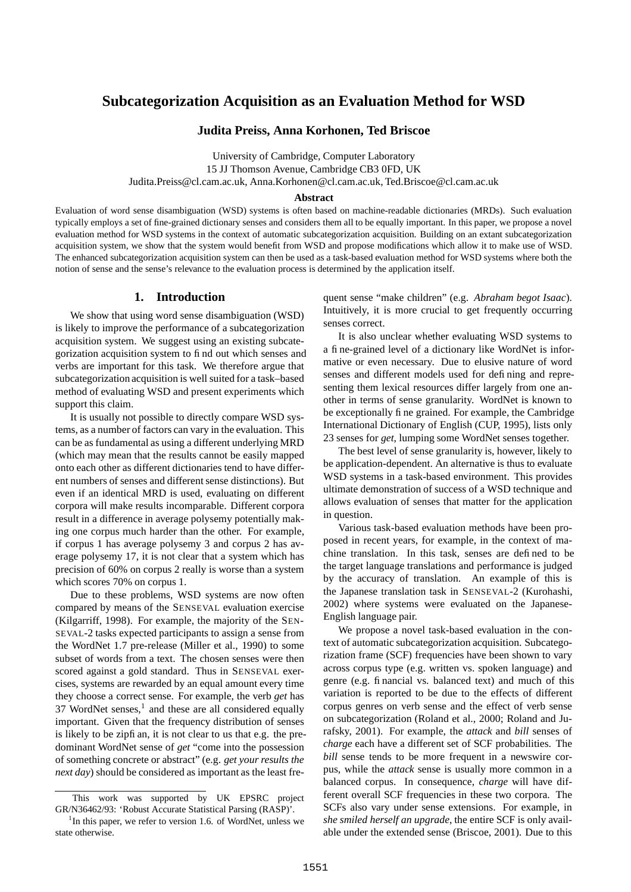# **Subcategorization Acquisition as an Evaluation Method for WSD**

### **Judita Preiss, Anna Korhonen, Ted Briscoe**

University of Cambridge, Computer Laboratory 15 JJ Thomson Avenue, Cambridge CB3 0FD, UK Judita.Preiss@cl.cam.ac.uk, Anna.Korhonen@cl.cam.ac.uk, Ted.Briscoe@cl.cam.ac.uk

#### **Abstract**

Evaluation of word sense disambiguation (WSD) systems is often based on machine-readable dictionaries (MRDs). Such evaluation typically employs a set of fine-grained dictionary senses and considers them all to be equally important. In this paper, we propose a novel evaluation method for WSD systems in the context of automatic subcategorization acquisition. Building on an extant subcategorization acquisition system, we show that the system would benefit from WSD and propose modifications which allow it to make use of WSD. The enhanced subcategorization acquisition system can then be used as a task-based evaluation method for WSD systems where both the notion of sense and the sense's relevance to the evaluation process is determined by the application itself.

## **1. Introduction**

We show that using word sense disambiguation (WSD) is likely to improve the performance of a subcategorization acquisition system. We suggest using an existing subcategorization acquisition system to find out which senses and verbs are important for this task. We therefore argue that subcategorization acquisition is well suited for a task–based method of evaluating WSD and present experiments which support this claim.

It is usually not possible to directly compare WSD systems, as a number of factors can vary in the evaluation. This can be as fundamental as using a different underlying MRD (which may mean that the results cannot be easily mapped onto each other as different dictionaries tend to have different numbers of senses and different sense distinctions). But even if an identical MRD is used, evaluating on different corpora will make results incomparable. Different corpora result in a difference in average polysemy potentially making one corpus much harder than the other. For example, if corpus 1 has average polysemy 3 and corpus 2 has average polysemy 17, it is not clear that a system which has precision of 60% on corpus 2 really is worse than a system which scores 70% on corpus 1.

Due to these problems, WSD systems are now often compared by means of the SENSEVAL evaluation exercise (Kilgarriff, 1998). For example, the majority of the SEN-SEVAL-2 tasks expected participants to assign a sense from the WordNet 1.7 pre-release (Miller et al., 1990) to some subset of words from a text. The chosen senses were then scored against a gold standard. Thus in SENSEVAL exercises, systems are rewarded by an equal amount every time they choose a correct sense. For example, the verb *get* has 37 WordNet senses,<sup>1</sup> and these are all considered equally important. Given that the frequency distribution of senses is likely to be zipfian, it is not clear to us that e.g. the predominant WordNet sense of *get* "come into the possession of something concrete or abstract" (e.g. *get your results the next day*) should be considered as important as the least fre-

quent sense "make children" (e.g. *Abraham begot Isaac*). Intuitively, it is more crucial to get frequently occurring senses correct.

It is also unclear whether evaluating WSD systems to a fine-grained level of a dictionary like WordNet is informative or even necessary. Due to elusive nature of word senses and different models used for defining and representing them lexical resources differ largely from one another in terms of sense granularity. WordNet is known to be exceptionally fine grained. For example, the Cambridge International Dictionary of English (CUP, 1995), lists only 23 senses for *get*, lumping some WordNet senses together.

The best level of sense granularity is, however, likely to be application-dependent. An alternative is thus to evaluate WSD systems in a task-based environment. This provides ultimate demonstration of success of a WSD technique and allows evaluation of senses that matter for the application in question.

Various task-based evaluation methods have been proposed in recent years, for example, in the context of machine translation. In this task, senses are defined to be the target language translations and performance is judged by the accuracy of translation. An example of this is the Japanese translation task in SENSEVAL-2 (Kurohashi, 2002) where systems were evaluated on the Japanese-English language pair.

We propose a novel task-based evaluation in the context of automatic subcategorization acquisition. Subcategorization frame (SCF) frequencies have been shown to vary across corpus type (e.g. written vs. spoken language) and genre (e.g. financial vs. balanced text) and much of this variation is reported to be due to the effects of different corpus genres on verb sense and the effect of verb sense on subcategorization (Roland et al., 2000; Roland and Jurafsky, 2001). For example, the *attack* and *bill* senses of *charge* each have a different set of SCF probabilities. The *bill* sense tends to be more frequent in a newswire corpus, while the *attack* sense is usually more common in a balanced corpus. In consequence, *charge* will have different overall SCF frequencies in these two corpora. The SCFs also vary under sense extensions. For example, in *she smiled herself an upgrade*, the entire SCF is only available under the extended sense (Briscoe, 2001). Due to this

This work was supported by UK EPSRC project GR/N36462/93: 'Robust Accurate Statistical Parsing (RASP)'.

<sup>&</sup>lt;sup>1</sup>In this paper, we refer to version 1.6. of WordNet, unless we state otherwise.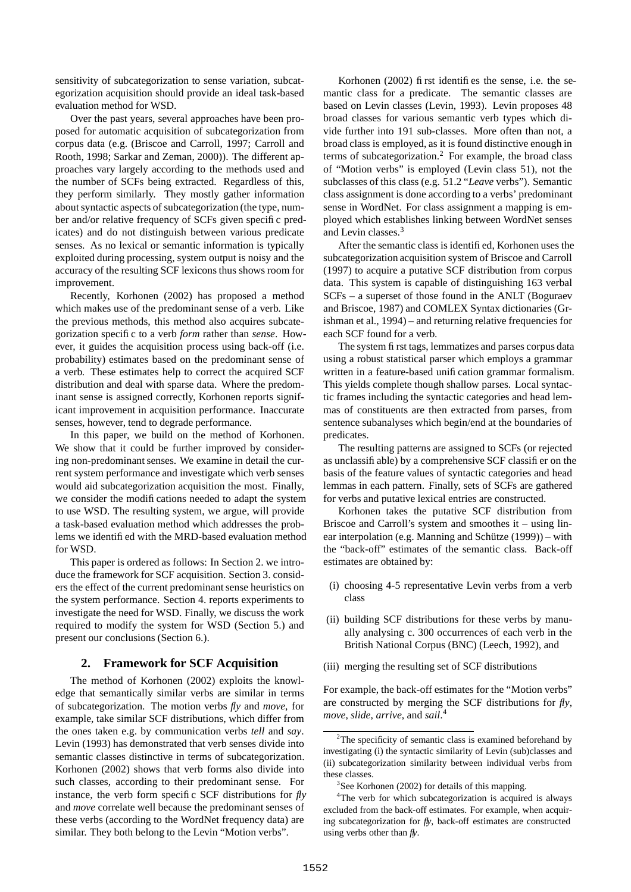sensitivity of subcategorization to sense variation, subcategorization acquisition should provide an ideal task-based evaluation method for WSD.

Over the past years, several approaches have been proposed for automatic acquisition of subcategorization from corpus data (e.g. (Briscoe and Carroll, 1997; Carroll and Rooth, 1998; Sarkar and Zeman, 2000)). The different approaches vary largely according to the methods used and the number of SCFs being extracted. Regardless of this, they perform similarly. They mostly gather information about syntactic aspects of subcategorization (the type, number and/or relative frequency of SCFs given specific predicates) and do not distinguish between various predicate senses. As no lexical or semantic information is typically exploited during processing, system output is noisy and the accuracy of the resulting SCF lexicons thus shows room for improvement.

Recently, Korhonen (2002) has proposed a method which makes use of the predominant sense of a verb. Like the previous methods, this method also acquires subcategorization specific to a verb *form* rather than *sense*. However, it guides the acquisition process using back-off (i.e. probability) estimates based on the predominant sense of a verb. These estimates help to correct the acquired SCF distribution and deal with sparse data. Where the predominant sense is assigned correctly, Korhonen reports significant improvement in acquisition performance. Inaccurate senses, however, tend to degrade performance.

In this paper, we build on the method of Korhonen. We show that it could be further improved by considering non-predominant senses. We examine in detail the current system performance and investigate which verb senses would aid subcategorization acquisition the most. Finally, we consider the modifications needed to adapt the system to use WSD. The resulting system, we argue, will provide a task-based evaluation method which addresses the problems we identified with the MRD-based evaluation method for WSD.

This paper is ordered as follows: In Section 2. we introduce the framework for SCF acquisition. Section 3. considers the effect of the current predominant sense heuristics on the system performance. Section 4. reports experiments to investigate the need for WSD. Finally, we discuss the work required to modify the system for WSD (Section 5.) and present our conclusions (Section 6.).

## **2. Framework for SCF Acquisition**

The method of Korhonen (2002) exploits the knowledge that semantically similar verbs are similar in terms of subcategorization. The motion verbs *fly* and *move*, for example, take similar SCF distributions, which differ from the ones taken e.g. by communication verbs *tell* and *say*. Levin (1993) has demonstrated that verb senses divide into semantic classes distinctive in terms of subcategorization. Korhonen (2002) shows that verb forms also divide into such classes, according to their predominant sense. For instance, the verb form specific SCF distributions for *fly* and *move* correlate well because the predominant senses of these verbs (according to the WordNet frequency data) are similar. They both belong to the Levin "Motion verbs".

Korhonen (2002) first identifies the sense, i.e. the semantic class for a predicate. The semantic classes are based on Levin classes (Levin, 1993). Levin proposes 48 broad classes for various semantic verb types which divide further into 191 sub-classes. More often than not, a broad class is employed, as it is found distinctive enough in terms of subcategorization.<sup>2</sup> For example, the broad class of "Motion verbs" is employed (Levin class 51), not the subclasses of this class (e.g. 51.2 "*Leave* verbs"). Semantic class assignment is done according to a verbs' predominant sense in WordNet. For class assignment a mapping is employed which establishes linking between WordNet senses and Levin classes.<sup>3</sup>

After the semantic class is identified, Korhonen uses the subcategorization acquisition system of Briscoe and Carroll (1997) to acquire a putative SCF distribution from corpus data. This system is capable of distinguishing 163 verbal SCFs – a superset of those found in the ANLT (Boguraev and Briscoe, 1987) and COMLEX Syntax dictionaries (Grishman et al., 1994) – and returning relative frequencies for each SCF found for a verb.

The system first tags, lemmatizes and parses corpus data using a robust statistical parser which employs a grammar written in a feature-based unification grammar formalism. This yields complete though shallow parses. Local syntactic frames including the syntactic categories and head lemmas of constituents are then extracted from parses, from sentence subanalyses which begin/end at the boundaries of predicates.

The resulting patterns are assigned to SCFs (or rejected as unclassifiable) by a comprehensive SCF classifier on the basis of the feature values of syntactic categories and head lemmas in each pattern. Finally, sets of SCFs are gathered for verbs and putative lexical entries are constructed.

Korhonen takes the putative SCF distribution from Briscoe and Carroll's system and smoothes it – using linear interpolation (e.g. Manning and Schütze  $(1999)$ ) – with the "back-off" estimates of the semantic class. Back-off estimates are obtained by:

- (i) choosing 4-5 representative Levin verbs from a verb class
- (ii) building SCF distributions for these verbs by manually analysing c. 300 occurrences of each verb in the British National Corpus (BNC) (Leech, 1992), and
- (iii) merging the resulting set of SCF distributions

For example, the back-off estimates for the "Motion verbs" are constructed by merging the SCF distributions for *fly*, *move*, *slide*, *arrive*, and *sail*. 4

<sup>&</sup>lt;sup>2</sup>The specificity of semantic class is examined beforehand by investigating (i) the syntactic similarity of Levin (sub)classes and (ii) subcategorization similarity between individual verbs from these classes.

<sup>&</sup>lt;sup>3</sup>See Korhonen (2002) for details of this mapping.

<sup>4</sup>The verb for which subcategorization is acquired is always excluded from the back-off estimates. For example, when acquiring subcategorization for *fly*, back-off estimates are constructed using verbs other than *fly*.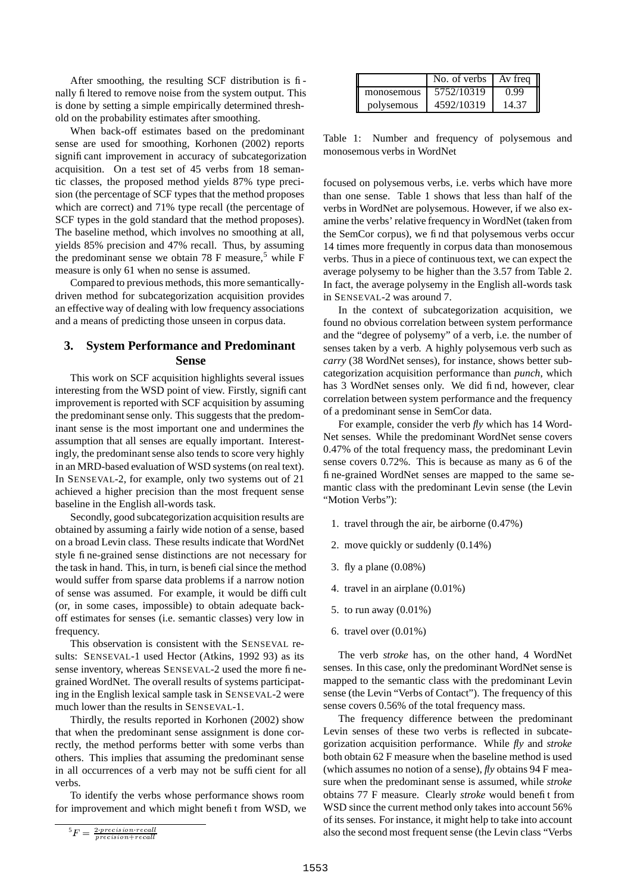After smoothing, the resulting SCF distribution is finally filtered to remove noise from the system output. This is done by setting a simple empirically determined threshold on the probability estimates after smoothing.

When back-off estimates based on the predominant sense are used for smoothing, Korhonen (2002) reports significant improvement in accuracy of subcategorization acquisition. On a test set of 45 verbs from 18 semantic classes, the proposed method yields 87% type precision (the percentage of SCF types that the method proposes which are correct) and 71% type recall (the percentage of SCF types in the gold standard that the method proposes). The baseline method, which involves no smoothing at all, yields 85% precision and 47% recall. Thus, by assuming the predominant sense we obtain 78 F measure,<sup>5</sup> while F measure is only 61 when no sense is assumed.

Compared to previous methods, this more semanticallydriven method for subcategorization acquisition provides an effective way of dealing with low frequency associations and a means of predicting those unseen in corpus data.

## **3. System Performance and Predominant Sense**

This work on SCF acquisition highlights several issues interesting from the WSD point of view. Firstly, significant improvement is reported with SCF acquisition by assuming the predominant sense only. This suggests that the predominant sense is the most important one and undermines the assumption that all senses are equally important. Interestingly, the predominant sense also tends to score very highly in an MRD-based evaluation of WSD systems (on real text). In SENSEVAL-2, for example, only two systems out of 21 achieved a higher precision than the most frequent sense baseline in the English all-words task.

Secondly, good subcategorization acquisition results are obtained by assuming a fairly wide notion of a sense, based on a broad Levin class. These results indicate that WordNet style fine-grained sense distinctions are not necessary for the task in hand. This, in turn, is beneficialsince the method would suffer from sparse data problems if a narrow notion of sense was assumed. For example, it would be difficult (or, in some cases, impossible) to obtain adequate backoff estimates for senses (i.e. semantic classes) very low in frequency.

This observation is consistent with the SENSEVAL results: SENSEVAL-1 used Hector (Atkins, 1992 93) as its sense inventory, whereas SENSEVAL-2 used the more finegrained WordNet. The overall results of systems participating in the English lexical sample task in SENSEVAL-2 were much lower than the results in SENSEVAL-1.

Thirdly, the results reported in Korhonen (2002) show that when the predominant sense assignment is done correctly, the method performs better with some verbs than others. This implies that assuming the predominant sense in all occurrences of a verb may not be sufficient for all verbs.

To identify the verbs whose performance shows room for improvement and which might benefit from WSD, we

|            | No. of verbs | Av freg |
|------------|--------------|---------|
| monosemous | 5752/10319   | O 99    |
| polysemous | 4592/10319   | 14.37   |

Table 1: Number and frequency of polysemous and monosemous verbs in WordNet

focused on polysemous verbs, i.e. verbs which have more than one sense. Table 1 shows that less than half of the verbs in WordNet are polysemous. However, if we also examine the verbs' relative frequency in WordNet (taken from the SemCor corpus), we find that polysemous verbs occur 14 times more frequently in corpus data than monosemous verbs. Thus in a piece of continuous text, we can expect the average polysemy to be higher than the 3.57 from Table 2. In fact, the average polysemy in the English all-words task in SENSEVAL-2 was around 7.

In the context of subcategorization acquisition, we found no obvious correlation between system performance and the "degree of polysemy" of a verb, i.e. the number of senses taken by a verb. A highly polysemous verb such as *carry* (38 WordNet senses), for instance, shows better subcategorization acquisition performance than *punch*, which has 3 WordNet senses only. We did find, however, clear correlation between system performance and the frequency of a predominant sense in SemCor data.

For example, consider the verb *fly* which has 14 Word-Net senses. While the predominant WordNet sense covers 0.47% of the total frequency mass, the predominant Levin sense covers 0.72%. This is because as many as 6 of the fine-grained WordNet senses are mapped to the same semantic class with the predominant Levin sense (the Levin "Motion Verbs"):

- 1. travel through the air, be airborne (0.47%)
- 2. move quickly or suddenly (0.14%)
- 3. fly a plane (0.08%)
- 4. travel in an airplane (0.01%)
- 5. to run away (0.01%)
- 6. travel over (0.01%)

The verb *stroke* has, on the other hand, 4 WordNet senses. In this case, only the predominant WordNet sense is mapped to the semantic class with the predominant Levin sense (the Levin "Verbs of Contact"). The frequency of this sense covers 0.56% of the total frequency mass.

The frequency difference between the predominant Levin senses of these two verbs is reflected in subcategorization acquisition performance. While *fly* and *stroke* both obtain 62 F measure when the baseline method is used (which assumes no notion of a sense), *fly* obtains 94 F measure when the predominant sense is assumed, while *stroke* obtains 77 F measure. Clearly *stroke* would benefit from WSD since the current method only takes into account 56% of its senses. For instance, it might help to take into account also the second most frequent sense (the Levin class "Verbs

 $5F=$ 
 $n n e \alpha i e i \alpha n + n e \alpha i l$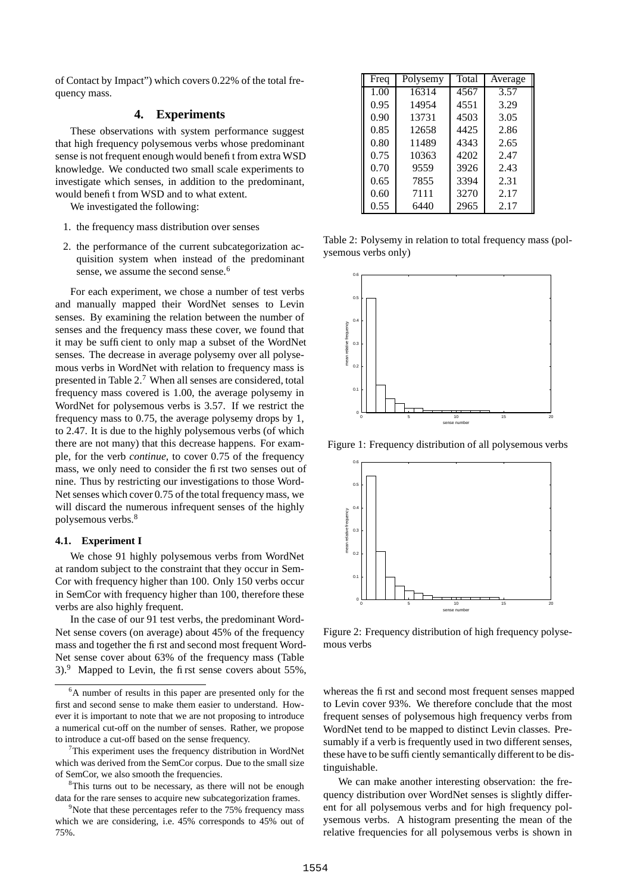of Contact by Impact") which covers 0.22% of the total frequency mass.

#### **4. Experiments**

These observations with system performance suggest that high frequency polysemous verbs whose predominant sense is not frequent enough would benefit from extra WSD knowledge. We conducted two small scale experiments to investigate which senses, in addition to the predominant, would benefit from WSD and to what extent.

We investigated the following:

- 1. the frequency mass distribution over senses
- 2. the performance of the current subcategorization acquisition system when instead of the predominant sense, we assume the second sense.<sup>6</sup>

For each experiment, we chose a number of test verbs and manually mapped their WordNet senses to Levin senses. By examining the relation between the number of senses and the frequency mass these cover, we found that it may be sufficient to only map a subset of the WordNet senses. The decrease in average polysemy over all polysemous verbs in WordNet with relation to frequency mass is presented in Table 2.<sup>7</sup> When all senses are considered, total frequency mass covered is 1.00, the average polysemy in WordNet for polysemous verbs is 3.57. If we restrict the frequency mass to 0.75, the average polysemy drops by 1, to 2.47. It is due to the highly polysemous verbs (of which there are not many) that this decrease happens. For example, for the verb *continue*, to cover 0.75 of the frequency mass, we only need to consider the first two senses out of nine. Thus by restricting our investigations to those Word-Net senses which cover 0.75 of the total frequency mass, we will discard the numerous infrequent senses of the highly polysemous verbs.<sup>8</sup>

#### **4.1. Experiment I**

We chose 91 highly polysemous verbs from WordNet at random subject to the constraint that they occur in Sem-Cor with frequency higher than 100. Only 150 verbs occur in SemCor with frequency higher than 100, therefore these verbs are also highly frequent.

In the case of our 91 test verbs, the predominant Word-Net sense covers (on average) about 45% of the frequency mass and together the first and second most frequent Word-Net sense cover about 63% of the frequency mass (Table  $3)$ .<sup>9</sup> Mapped to Levin, the first sense covers about 55%,

| Freq | Polysemy | Total | Average |  |
|------|----------|-------|---------|--|
| 1.00 | 16314    | 4567  | 3.57    |  |
| 0.95 | 14954    | 4551  | 3.29    |  |
| 0.90 | 13731    | 4503  | 3.05    |  |
| 0.85 | 12658    | 4425  | 2.86    |  |
| 0.80 | 11489    | 4343  | 2.65    |  |
| 0.75 | 10363    | 4202  | 2.47    |  |
| 0.70 | 9559     | 3926  | 2.43    |  |
| 0.65 | 7855     | 3394  | 2.31    |  |
| 0.60 | 7111     | 3270  | 2.17    |  |
| 0.55 | 6440     | 2965  | 2.17    |  |

Table 2: Polysemy in relation to total frequency mass (polysemous verbs only)



Figure 1: Frequency distribution of all polysemous verbs



Figure 2: Frequency distribution of high frequency polysemous verbs

whereas the first and second most frequent senses mapped to Levin cover 93%. We therefore conclude that the most frequent senses of polysemous high frequency verbs from WordNet tend to be mapped to distinct Levin classes. Presumably if a verb is frequently used in two different senses, these have to be sufficiently semantically different to be distinguishable.

We can make another interesting observation: the frequency distribution over WordNet senses is slightly different for all polysemous verbs and for high frequency polysemous verbs. A histogram presenting the mean of the relative frequencies for all polysemous verbs is shown in

<sup>&</sup>lt;sup>6</sup>A number of results in this paper are presented only for the first and second sense to make them easier to understand. However it is important to note that we are not proposing to introduce a numerical cut-off on the number of senses. Rather, we propose to introduce a cut-off based on the sense frequency.

<sup>&</sup>lt;sup>7</sup>This experiment uses the frequency distribution in WordNet which was derived from the SemCor corpus. Due to the small size of SemCor, we also smooth the frequencies.

<sup>&</sup>lt;sup>8</sup>This turns out to be necessary, as there will not be enough data for the rare senses to acquire new subcategorization frames.

 $9^9$ Note that these percentages refer to the 75% frequency mass which we are considering, i.e. 45% corresponds to 45% out of 75%.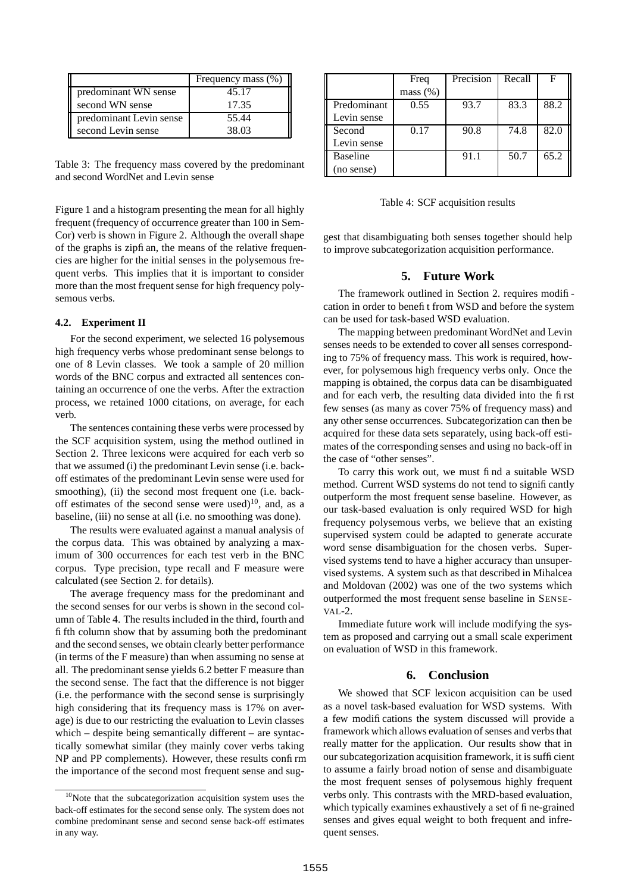|                         | Frequency mass (%) |  |
|-------------------------|--------------------|--|
| predominant WN sense    | 45.17              |  |
| second WN sense         | 17.35              |  |
| predominant Levin sense | 55.44              |  |
| second Levin sense      | 38.03              |  |

Table 3: The frequency mass covered by the predominant and second WordNet and Levin sense

Figure 1 and a histogram presenting the mean for all highly frequent (frequency of occurrence greater than 100 in Sem-Cor) verb is shown in Figure 2. Although the overall shape of the graphs is zipfian, the means of the relative frequencies are higher for the initial senses in the polysemous frequent verbs. This implies that it is important to consider more than the most frequent sense for high frequency polysemous verbs.

#### **4.2. Experiment II**

For the second experiment, we selected 16 polysemous high frequency verbs whose predominant sense belongs to one of 8 Levin classes. We took a sample of 20 million words of the BNC corpus and extracted all sentences containing an occurrence of one the verbs. After the extraction process, we retained 1000 citations, on average, for each verb.

The sentences containing these verbs were processed by the SCF acquisition system, using the method outlined in Section 2. Three lexicons were acquired for each verb so that we assumed (i) the predominant Levin sense (i.e. backoff estimates of the predominant Levin sense were used for smoothing), (ii) the second most frequent one (i.e. backoff estimates of the second sense were used) $^{10}$ , and, as a baseline, (iii) no sense at all (i.e. no smoothing was done).

The results were evaluated against a manual analysis of the corpus data. This was obtained by analyzing a maximum of 300 occurrences for each test verb in the BNC corpus. Type precision, type recall and F measure were calculated (see Section 2. for details).

The average frequency mass for the predominant and the second senses for our verbs is shown in the second column of Table 4. The results included in the third, fourth and fifth column show that by assuming both the predominant and the second senses, we obtain clearly better performance (in terms of the F measure) than when assuming no sense at all. The predominant sense yields 6.2 better F measure than the second sense. The fact that the difference is not bigger (i.e. the performance with the second sense is surprisingly high considering that its frequency mass is 17% on average) is due to our restricting the evaluation to Levin classes which – despite being semantically different – are syntactically somewhat similar (they mainly cover verbs taking NP and PP complements). However, these results confirm the importance of the second most frequent sense and sug-

|                 | Freq     | Precision | Recall | F    |
|-----------------|----------|-----------|--------|------|
|                 | mass (%) |           |        |      |
| Predominant     | 0.55     | 93.7      | 83.3   | 88.2 |
| Levin sense     |          |           |        |      |
| Second          | 0.17     | 90.8      | 74.8   | 82.0 |
| Levin sense     |          |           |        |      |
| <b>Baseline</b> |          | 91.1      | 50.7   | 65.2 |
| (no sense)      |          |           |        |      |

Table 4: SCF acquisition results

gest that disambiguating both senses together should help to improve subcategorization acquisition performance.

#### **5. Future Work**

The framework outlined in Section 2. requires modification in order to benefit from WSD and before the system can be used for task-based WSD evaluation.

The mapping between predominant WordNet and Levin senses needs to be extended to cover all senses corresponding to 75% of frequency mass. This work is required, however, for polysemous high frequency verbs only. Once the mapping is obtained, the corpus data can be disambiguated and for each verb, the resulting data divided into the first few senses (as many as cover 75% of frequency mass) and any other sense occurrences. Subcategorization can then be acquired for these data sets separately, using back-off estimates of the corresponding senses and using no back-off in the case of "other senses".

To carry this work out, we must find a suitable WSD method. Current WSD systems do not tend to significantly outperform the most frequent sense baseline. However, as our task-based evaluation is only required WSD for high frequency polysemous verbs, we believe that an existing supervised system could be adapted to generate accurate word sense disambiguation for the chosen verbs. Supervised systems tend to have a higher accuracy than unsupervised systems. A system such as that described in Mihalcea and Moldovan (2002) was one of the two systems which outperformed the most frequent sense baseline in SENSE-VAL-2.

Immediate future work will include modifying the system as proposed and carrying out a small scale experiment on evaluation of WSD in this framework.

#### **6. Conclusion**

We showed that SCF lexicon acquisition can be used as a novel task-based evaluation for WSD systems. With a few modifications the system discussed will provide a framework which allows evaluation of senses and verbs that really matter for the application. Our results show that in our subcategorization acquisition framework, it is sufficient to assume a fairly broad notion of sense and disambiguate the most frequent senses of polysemous highly frequent verbs only. This contrasts with the MRD-based evaluation, which typically examines exhaustively a set of fine-grained senses and gives equal weight to both frequent and infrequent senses.

<sup>10</sup>Note that the subcategorization acquisition system uses the back-off estimates for the second sense only. The system does not combine predominant sense and second sense back-off estimates in any way.